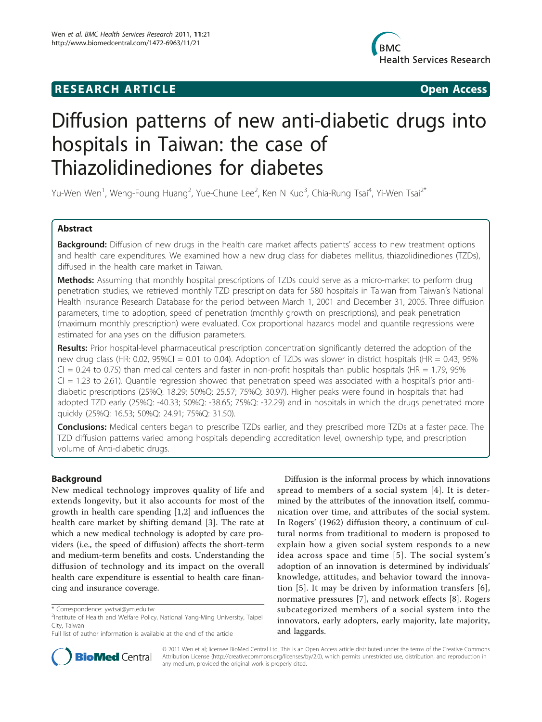## **RESEARCH ARTICLE Example 2018 CONSIDERING ACCESS**



# Diffusion patterns of new anti-diabetic drugs into hospitals in Taiwan: the case of Thiazolidinediones for diabetes

Yu-Wen Wen<sup>1</sup>, Weng-Foung Huang<sup>2</sup>, Yue-Chune Lee<sup>2</sup>, Ken N Kuo<sup>3</sup>, Chia-Rung Tsai<sup>4</sup>, Yi-Wen Tsai<sup>2\*</sup>

## Abstract

**Background:** Diffusion of new drugs in the health care market affects patients' access to new treatment options and health care expenditures. We examined how a new drug class for diabetes mellitus, thiazolidinediones (TZDs), diffused in the health care market in Taiwan.

Methods: Assuming that monthly hospital prescriptions of TZDs could serve as a micro-market to perform drug penetration studies, we retrieved monthly TZD prescription data for 580 hospitals in Taiwan from Taiwan's National Health Insurance Research Database for the period between March 1, 2001 and December 31, 2005. Three diffusion parameters, time to adoption, speed of penetration (monthly growth on prescriptions), and peak penetration (maximum monthly prescription) were evaluated. Cox proportional hazards model and quantile regressions were estimated for analyses on the diffusion parameters.

Results: Prior hospital-level pharmaceutical prescription concentration significantly deterred the adoption of the new drug class (HR: 0.02,  $95\%$ CI = 0.01 to 0.04). Adoption of TZDs was slower in district hospitals (HR = 0.43,  $95\%$  $Cl = 0.24$  to 0.75) than medical centers and faster in non-profit hospitals than public hospitals (HR = 1.79, 95%  $CI = 1.23$  to 2.61). Quantile regression showed that penetration speed was associated with a hospital's prior antidiabetic prescriptions (25%Q: 18.29; 50%Q: 25.57; 75%Q: 30.97). Higher peaks were found in hospitals that had adopted TZD early (25%Q: -40.33; 50%Q: -38.65; 75%Q: -32.29) and in hospitals in which the drugs penetrated more quickly (25%Q: 16.53; 50%Q: 24.91; 75%Q: 31.50).

Conclusions: Medical centers began to prescribe TZDs earlier, and they prescribed more TZDs at a faster pace. The TZD diffusion patterns varied among hospitals depending accreditation level, ownership type, and prescription volume of Anti-diabetic drugs.

## Background

New medical technology improves quality of life and extends longevity, but it also accounts for most of the growth in health care spending [[1,2\]](#page-11-0) and influences the health care market by shifting demand [[3\]](#page-11-0). The rate at which a new medical technology is adopted by care providers (i.e., the speed of diffusion) affects the short-term and medium-term benefits and costs. Understanding the diffusion of technology and its impact on the overall health care expenditure is essential to health care financing and insurance coverage.

Diffusion is the informal process by which innovations spread to members of a social system [[4](#page-11-0)]. It is determined by the attributes of the innovation itself, communication over time, and attributes of the social system. In Rogers' (1962) diffusion theory, a continuum of cultural norms from traditional to modern is proposed to explain how a given social system responds to a new idea across space and time [[5\]](#page-11-0). The social system's adoption of an innovation is determined by individuals' knowledge, attitudes, and behavior toward the innovation [\[5\]](#page-11-0). It may be driven by information transfers [[6](#page-11-0)], normative pressures [[7\]](#page-11-0), and network effects [[8\]](#page-11-0). Rogers subcategorized members of a social system into the innovators, early adopters, early majority, late majority, and laggards.



© 2011 Wen et al; licensee BioMed Central Ltd. This is an Open Access article distributed under the terms of the Creative Commons Attribution License [\(http://creativecommons.org/licenses/by/2.0](http://creativecommons.org/licenses/by/2.0)), which permits unrestricted use, distribution, and reproduction in any medium, provided the original work is properly cited.

<sup>\*</sup> Correspondence: [ywtsai@ym.edu.tw](mailto:ywtsai@ym.edu.tw)

<sup>&</sup>lt;sup>2</sup>Institute of Health and Welfare Policy, National Yang-Ming University, Taipei City, Taiwan

Full list of author information is available at the end of the article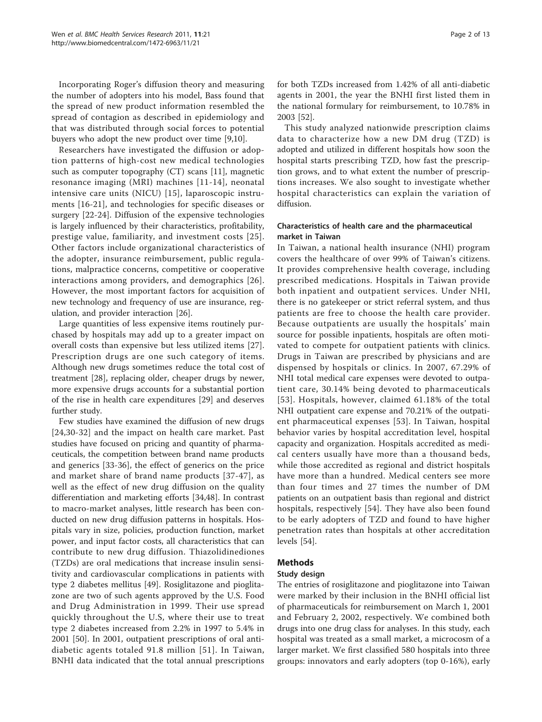Incorporating Roger's diffusion theory and measuring the number of adopters into his model, Bass found that the spread of new product information resembled the spread of contagion as described in epidemiology and that was distributed through social forces to potential buyers who adopt the new product over time [[9,10](#page-11-0)].

Researchers have investigated the diffusion or adoption patterns of high-cost new medical technologies such as computer topography (CT) scans [[11\]](#page-11-0), magnetic resonance imaging (MRI) machines [[11-14](#page-11-0)], neonatal intensive care units (NICU) [\[15\]](#page-11-0), laparoscopic instruments [[16-](#page-11-0)[21](#page-12-0)], and technologies for specific diseases or surgery [[22-24](#page-12-0)]. Diffusion of the expensive technologies is largely influenced by their characteristics, profitability, prestige value, familiarity, and investment costs [[25\]](#page-12-0). Other factors include organizational characteristics of the adopter, insurance reimbursement, public regulations, malpractice concerns, competitive or cooperative interactions among providers, and demographics [[26\]](#page-12-0). However, the most important factors for acquisition of new technology and frequency of use are insurance, regulation, and provider interaction [\[26](#page-12-0)].

Large quantities of less expensive items routinely purchased by hospitals may add up to a greater impact on overall costs than expensive but less utilized items [\[27](#page-12-0)]. Prescription drugs are one such category of items. Although new drugs sometimes reduce the total cost of treatment [\[28](#page-12-0)], replacing older, cheaper drugs by newer, more expensive drugs accounts for a substantial portion of the rise in health care expenditures [\[29](#page-12-0)] and deserves further study.

Few studies have examined the diffusion of new drugs [[24](#page-12-0),[30-32\]](#page-12-0) and the impact on health care market. Past studies have focused on pricing and quantity of pharmaceuticals, the competition between brand name products and generics [[33-36](#page-12-0)], the effect of generics on the price and market share of brand name products [\[37-47\]](#page-12-0), as well as the effect of new drug diffusion on the quality differentiation and marketing efforts [\[34,48](#page-12-0)]. In contrast to macro-market analyses, little research has been conducted on new drug diffusion patterns in hospitals. Hospitals vary in size, policies, production function, market power, and input factor costs, all characteristics that can contribute to new drug diffusion. Thiazolidinediones (TZDs) are oral medications that increase insulin sensitivity and cardiovascular complications in patients with type 2 diabetes mellitus [[49](#page-12-0)]. Rosiglitazone and pioglitazone are two of such agents approved by the U.S. Food and Drug Administration in 1999. Their use spread quickly throughout the U.S, where their use to treat type 2 diabetes increased from 2.2% in 1997 to 5.4% in 2001 [[50\]](#page-12-0). In 2001, outpatient prescriptions of oral antidiabetic agents totaled 91.8 million [[51\]](#page-12-0). In Taiwan, BNHI data indicated that the total annual prescriptions

for both TZDs increased from 1.42% of all anti-diabetic agents in 2001, the year the BNHI first listed them in the national formulary for reimbursement, to 10.78% in 2003 [[52](#page-12-0)].

This study analyzed nationwide prescription claims data to characterize how a new DM drug (TZD) is adopted and utilized in different hospitals how soon the hospital starts prescribing TZD, how fast the prescription grows, and to what extent the number of prescriptions increases. We also sought to investigate whether hospital characteristics can explain the variation of diffusion.

## Characteristics of health care and the pharmaceutical market in Taiwan

In Taiwan, a national health insurance (NHI) program covers the healthcare of over 99% of Taiwan's citizens. It provides comprehensive health coverage, including prescribed medications. Hospitals in Taiwan provide both inpatient and outpatient services. Under NHI, there is no gatekeeper or strict referral system, and thus patients are free to choose the health care provider. Because outpatients are usually the hospitals' main source for possible inpatients, hospitals are often motivated to compete for outpatient patients with clinics. Drugs in Taiwan are prescribed by physicians and are dispensed by hospitals or clinics. In 2007, 67.29% of NHI total medical care expenses were devoted to outpatient care, 30.14% being devoted to pharmaceuticals [[53\]](#page-12-0). Hospitals, however, claimed 61.18% of the total NHI outpatient care expense and 70.21% of the outpatient pharmaceutical expenses [[53\]](#page-12-0). In Taiwan, hospital behavior varies by hospital accreditation level, hospital capacity and organization. Hospitals accredited as medical centers usually have more than a thousand beds, while those accredited as regional and district hospitals have more than a hundred. Medical centers see more than four times and 27 times the number of DM patients on an outpatient basis than regional and district hospitals, respectively [[54](#page-12-0)]. They have also been found to be early adopters of TZD and found to have higher penetration rates than hospitals at other accreditation levels [\[54\]](#page-12-0).

## Methods

## Study design

The entries of rosiglitazone and pioglitazone into Taiwan were marked by their inclusion in the BNHI official list of pharmaceuticals for reimbursement on March 1, 2001 and February 2, 2002, respectively. We combined both drugs into one drug class for analyses. In this study, each hospital was treated as a small market, a microcosm of a larger market. We first classified 580 hospitals into three groups: innovators and early adopters (top 0-16%), early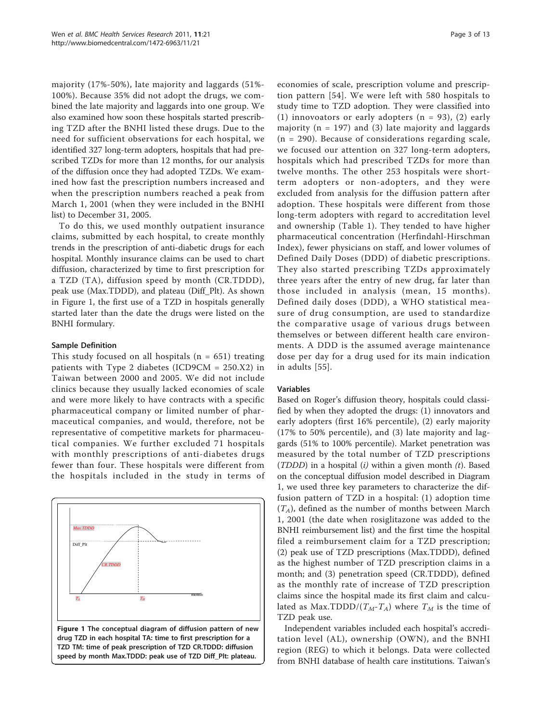majority (17%-50%), late majority and laggards (51%- 100%). Because 35% did not adopt the drugs, we combined the late majority and laggards into one group. We also examined how soon these hospitals started prescribing TZD after the BNHI listed these drugs. Due to the need for sufficient observations for each hospital, we identified 327 long-term adopters, hospitals that had prescribed TZDs for more than 12 months, for our analysis of the diffusion once they had adopted TZDs. We examined how fast the prescription numbers increased and when the prescription numbers reached a peak from March 1, 2001 (when they were included in the BNHI list) to December 31, 2005.

To do this, we used monthly outpatient insurance claims, submitted by each hospital, to create monthly trends in the prescription of anti-diabetic drugs for each hospital. Monthly insurance claims can be used to chart diffusion, characterized by time to first prescription for a TZD (TA), diffusion speed by month (CR.TDDD), peak use (Max.TDDD), and plateau (Diff\_Plt). As shown in Figure 1, the first use of a TZD in hospitals generally started later than the date the drugs were listed on the BNHI formulary.

### Sample Definition

This study focused on all hospitals ( $n = 651$ ) treating patients with Type 2 diabetes (ICD9CM = 250.X2) in Taiwan between 2000 and 2005. We did not include clinics because they usually lacked economies of scale and were more likely to have contracts with a specific pharmaceutical company or limited number of pharmaceutical companies, and would, therefore, not be representative of competitive markets for pharmaceutical companies. We further excluded 71 hospitals with monthly prescriptions of anti-diabetes drugs fewer than four. These hospitals were different from the hospitals included in the study in terms of



economies of scale, prescription volume and prescription pattern [[54](#page-12-0)]. We were left with 580 hospitals to study time to TZD adoption. They were classified into (1) innovoators or early adopters  $(n = 93)$ , (2) early majority ( $n = 197$ ) and (3) late majority and laggards (n = 290). Because of considerations regarding scale, we focused our attention on 327 long-term adopters, hospitals which had prescribed TZDs for more than twelve months. The other 253 hospitals were shortterm adopters or non-adopters, and they were excluded from analysis for the diffusion pattern after adoption. These hospitals were different from those long-term adopters with regard to accreditation level and ownership (Table [1](#page-3-0)). They tended to have higher pharmaceutical concentration (Herfindahl-Hirschman Index), fewer physicians on staff, and lower volumes of Defined Daily Doses (DDD) of diabetic prescriptions. They also started prescribing TZDs approximately three years after the entry of new drug, far later than those included in analysis (mean, 15 months). Defined daily doses (DDD), a WHO statistical measure of drug consumption, are used to standardize the comparative usage of various drugs between themselves or between different health care environments. A DDD is the assumed average maintenance dose per day for a drug used for its main indication in adults [[55](#page-12-0)].

#### Variables

Based on Roger's diffusion theory, hospitals could classified by when they adopted the drugs: (1) innovators and early adopters (first 16% percentile), (2) early majority (17% to 50% percentile), and (3) late majority and laggards (51% to 100% percentile). Market penetration was measured by the total number of TZD prescriptions (*TDDD*) in a hospital  $(i)$  within a given month  $(t)$ . Based on the conceptual diffusion model described in Diagram 1, we used three key parameters to characterize the diffusion pattern of TZD in a hospital: (1) adoption time  $(T_A)$ , defined as the number of months between March 1, 2001 (the date when rosiglitazone was added to the BNHI reimbursement list) and the first time the hospital filed a reimbursement claim for a TZD prescription; (2) peak use of TZD prescriptions (Max.TDDD), defined as the highest number of TZD prescription claims in a month; and (3) penetration speed (CR.TDDD), defined as the monthly rate of increase of TZD prescription claims since the hospital made its first claim and calculated as Max.TDDD/( $T_M - T_A$ ) where  $T_M$  is the time of TZD peak use.

Independent variables included each hospital's accreditation level (AL), ownership (OWN), and the BNHI region (REG) to which it belongs. Data were collected from BNHI database of health care institutions. Taiwan's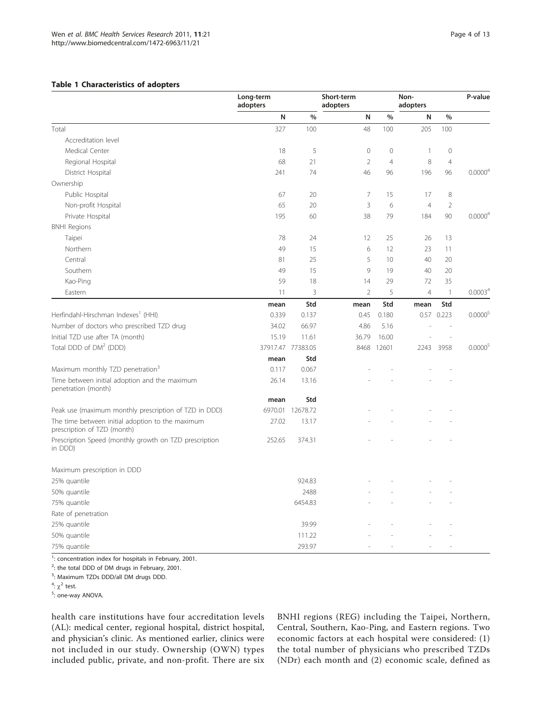### <span id="page-3-0"></span>Table 1 Characteristics of adopters

|                                                                                 | Long-term<br>adopters |                   | Short-term<br>adopters |                | Non-<br>adopters |                          | P-value             |
|---------------------------------------------------------------------------------|-----------------------|-------------------|------------------------|----------------|------------------|--------------------------|---------------------|
|                                                                                 | N                     | $\frac{0}{0}$     | N                      | $\frac{0}{0}$  | N                | $\frac{0}{0}$            |                     |
| Total                                                                           | 327                   | 100               | 48                     | 100            | 205              | 100                      |                     |
| Accreditation level                                                             |                       |                   |                        |                |                  |                          |                     |
| Medical Center                                                                  | 18                    | 5                 | $\mathbf 0$            | $\circ$        | $\mathbf{1}$     | $\mathbf 0$              |                     |
| Regional Hospital                                                               | 68                    | 21                | $\overline{2}$         | $\overline{4}$ | 8                | $\overline{4}$           |                     |
| District Hospital                                                               | 241                   | 74                | 46                     | 96             | 196              | 96                       | 0.0000 <sup>4</sup> |
| Ownership                                                                       |                       |                   |                        |                |                  |                          |                     |
| Public Hospital                                                                 | 67                    | 20                | 7                      | 15             | 17               | 8                        |                     |
| Non-profit Hospital                                                             | 65                    | 20                | 3                      | 6              | $\overline{4}$   | $\overline{2}$           |                     |
| Private Hospital                                                                | 195                   | 60                | 38                     | 79             | 184              | 90                       | 0.0000 <sup>4</sup> |
| <b>BNHI Regions</b>                                                             |                       |                   |                        |                |                  |                          |                     |
| Taipei                                                                          | 78                    | 24                | 12                     | 25             | 26               | 13                       |                     |
| Northern                                                                        | 49                    | 15                | 6                      | 12             | 23               | 11                       |                     |
| Central                                                                         | 81                    | 25                | 5                      | 10             | 40               | 20                       |                     |
| Southern                                                                        | 49                    | 15                | 9                      | 19             | 40               | 20                       |                     |
| Kao-Ping                                                                        | 59                    | 18                | 14                     | 29             | 72               | 35                       |                     |
| Eastern                                                                         | 11                    | 3                 | $\overline{2}$         | 5              | $\overline{4}$   | $\overline{\phantom{a}}$ | 0.0003 <sup>4</sup> |
|                                                                                 | mean                  | Std               | mean                   | Std            | mean             | Std                      |                     |
| Herfindahl-Hirschman Indexes <sup>1</sup> (HHI)                                 | 0.339                 | 0.137             | 0.45                   | 0.180          |                  | 0.57 0.223               | 0.0000 <sup>5</sup> |
| Number of doctors who prescribed TZD drug                                       | 34.02                 | 66.97             | 4.86                   | 5.16           |                  |                          |                     |
| Initial TZD use after TA (month)                                                | 15.19                 | 11.61             | 36.79                  | 16.00          |                  |                          |                     |
| Total DDD of DM <sup>2</sup> (DDD)                                              |                       | 37917.47 77383.05 | 8468                   | 12601          | 2243             | 3958                     | 0.0000 <sup>5</sup> |
|                                                                                 | mean                  | Std               |                        |                |                  |                          |                     |
| Maximum monthly TZD penetration <sup>3</sup>                                    | 0.117                 | 0.067             |                        |                |                  |                          |                     |
| Time between initial adoption and the maximum<br>penetration (month)            | 26.14                 | 13.16             |                        |                |                  |                          |                     |
|                                                                                 | mean                  | Std               |                        |                |                  |                          |                     |
| Peak use (maximum monthly prescription of TZD in DDD)                           | 6970.01               | 12678.72          |                        |                |                  |                          |                     |
| The time between initial adoption to the maximum<br>prescription of TZD (month) | 27.02                 | 13.17             |                        |                |                  |                          |                     |
| Prescription Speed (monthly growth on TZD prescription<br>in DDD)               | 252.65                | 374.31            |                        |                |                  |                          |                     |
| Maximum prescription in DDD                                                     |                       |                   |                        |                |                  |                          |                     |
| 25% quantile                                                                    |                       | 924.83            |                        |                |                  |                          |                     |
| 50% quantile                                                                    |                       | 2488              |                        |                |                  |                          |                     |
| 75% quantile                                                                    |                       | 6454.83           |                        |                |                  |                          |                     |
| Rate of penetration                                                             |                       |                   |                        |                |                  |                          |                     |
| 25% quantile                                                                    |                       | 39.99             |                        |                |                  |                          |                     |
| 50% quantile                                                                    |                       | 111.22            |                        |                |                  |                          |                     |
| 75% quantile                                                                    |                       | 293.97            |                        |                |                  |                          |                     |

 $1$ : concentration index for hospitals in February, 2001.

<sup>2</sup>: the total DDD of DM drugs in February, 2001.

<sup>3</sup>: Maximum TZDs DDD/all DM drugs DDD.

<sup>4</sup>:  $\chi^2$  test.<br><sup>5</sup>: 223 W

health care institutions have four accreditation levels (AL): medical center, regional hospital, district hospital, and physician's clinic. As mentioned earlier, clinics were not included in our study. Ownership (OWN) types included public, private, and non-profit. There are six

BNHI regions (REG) including the Taipei, Northern, Central, Southern, Kao-Ping, and Eastern regions. Two economic factors at each hospital were considered: (1) the total number of physicians who prescribed TZDs (NDr) each month and (2) economic scale, defined as

<sup>&</sup>lt;sup>5</sup>: one-way ANOVA.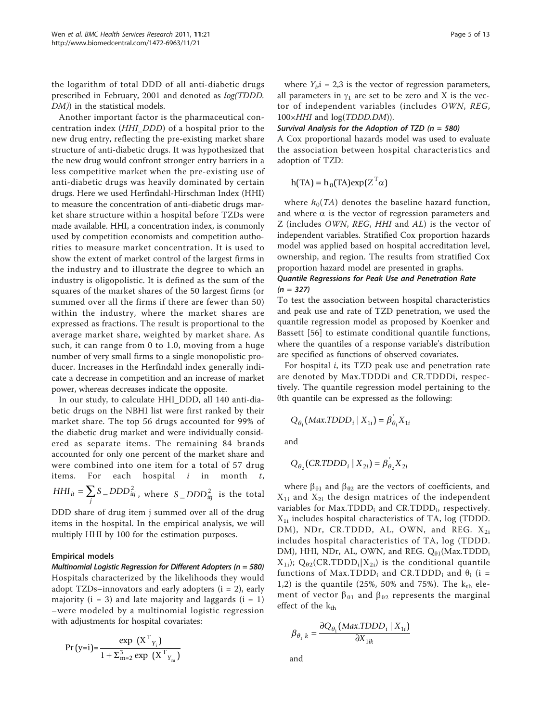the logarithm of total DDD of all anti-diabetic drugs prescribed in February, 2001 and denoted as log(TDDD. DM)) in the statistical models.

Another important factor is the pharmaceutical concentration index (HHI\_DDD) of a hospital prior to the new drug entry, reflecting the pre-existing market share structure of anti-diabetic drugs. It was hypothesized that the new drug would confront stronger entry barriers in a less competitive market when the pre-existing use of anti-diabetic drugs was heavily dominated by certain drugs. Here we used Herfindahl-Hirschman Index (HHI) to measure the concentration of anti-diabetic drugs market share structure within a hospital before TZDs were made available. HHI, a concentration index, is commonly used by competition economists and competition authorities to measure market concentration. It is used to show the extent of market control of the largest firms in the industry and to illustrate the degree to which an industry is oligopolistic. It is defined as the sum of the squares of the market shares of the 50 largest firms (or summed over all the firms if there are fewer than 50) within the industry, where the market shares are expressed as fractions. The result is proportional to the average market share, weighted by market share. As such, it can range from 0 to 1.0, moving from a huge number of very small firms to a single monopolistic producer. Increases in the Herfindahl index generally indicate a decrease in competition and an increase of market power, whereas decreases indicate the opposite.

In our study, to calculate HHI\_DDD, all 140 anti-diabetic drugs on the NBHI list were first ranked by their market share. The top 56 drugs accounted for 99% of the diabetic drug market and were individually considered as separate items. The remaining 84 brands accounted for only one percent of the market share and were combined into one item for a total of 57 drug items. For each hospital  $i$  in month  $t$ ,  $HHI_{it} = \sum_{j} S \_DDD_{itj}^2$ , where  $S \_DDD_{itj}^2$  is the total

DDD share of drug item j summed over all of the drug items in the hospital. In the empirical analysis, we will multiply HHI by 100 for the estimation purposes.

#### Empirical models

Multinomial Logistic Regression for Different Adopters ( $n = 580$ ) Hospitals characterized by the likelihoods they would adopt TZDs–innovators and early adopters  $(i = 2)$ , early majority ( $i = 3$ ) and late majority and laggards ( $i = 1$ ) –were modeled by a multinomial logistic regression with adjustments for hospital covariates:

$$
Pr (y=i) = \frac{exp (X^{T}y_{i})}{1 + \sum_{m=2}^{3} exp (X^{T}y_{m})}
$$

where  $Y_{i}$  = 2,3 is the vector of regression parameters, all parameters in  $\gamma_1$  are set to be zero and X is the vector of independent variables (includes OWN, REG, 100×HHI and log(TDDD.DM)).

Survival Analysis for the Adoption of TZD ( $n = 580$ )

A Cox proportional hazards model was used to evaluate the association between hospital characteristics and adoption of TZD:

 $h(TA) = h_0(TA)exp(Z^T\alpha)$ 

where  $h_0(TA)$  denotes the baseline hazard function, and where  $\alpha$  is the vector of regression parameters and Z (includes OWN, REG, HHI and AL) is the vector of independent variables. Stratified Cox proportion hazards model was applied based on hospital accreditation level, ownership, and region. The results from stratified Cox proportion hazard model are presented in graphs.

Quantile Regressions for Peak Use and Penetration Rate  $(n = 327)$ 

To test the association between hospital characteristics and peak use and rate of TZD penetration, we used the quantile regression model as proposed by Koenker and Bassett [[56](#page-12-0)] to estimate conditional quantile functions, where the quantiles of a response variable's distribution are specified as functions of observed covariates.

For hospital i, its TZD peak use and penetration rate are denoted by Max.TDDDi and CR.TDDDi, respectively. The quantile regression model pertaining to the θth quantile can be expressed as the following:

$$
Q_{\theta_1}(Max.TDDD_i | X_{1i}) = \beta'_{\theta_1} X_{1i}
$$

and

$$
Q_{\theta_2}(CR.TDDD_i | X_{2i}) = \beta_{\theta_2}^{'} X_{2i}
$$

where  $\beta_{\theta1}$  and  $\beta_{\theta2}$  are the vectors of coefficients, and  $X_{1i}$  and  $X_{2i}$  the design matrices of the independent variables for Max.TDDD<sub>i</sub> and CR.TDDD<sub>i</sub>, respectively.  $X_{1i}$  includes hospital characteristics of TA, log (TDDD. DM), NDr, CR.TDDD, AL, OWN, and REG.  $X_{2i}$ includes hospital characteristics of TA, log (TDDD. DM), HHI, NDr, AL, OWN, and REG. Q<sub>01</sub>(Max.TDDD<sub>i</sub>  $X_{1i}$ ); Q<sub>02</sub>(CR.TDDD<sub>i</sub> $|X_{2i}|$ ) is the conditional quantile functions of Max.TDDD<sub>i</sub> and CR.TDDD<sub>i</sub> and  $\theta_i$  (i = 1,2) is the quantile (25%, 50% and 75%). The  $k_{th}$  element of vector  $\beta_{\theta1}$  and  $\beta_{\theta2}$  represents the marginal effect of the  $k_{th}$ 

$$
\beta_{\theta_{1} \ k} = \frac{\partial Q_{\theta_{1}}(Max.TDDD_{i} \mid X_{1i})}{\partial X_{1ik}}
$$

and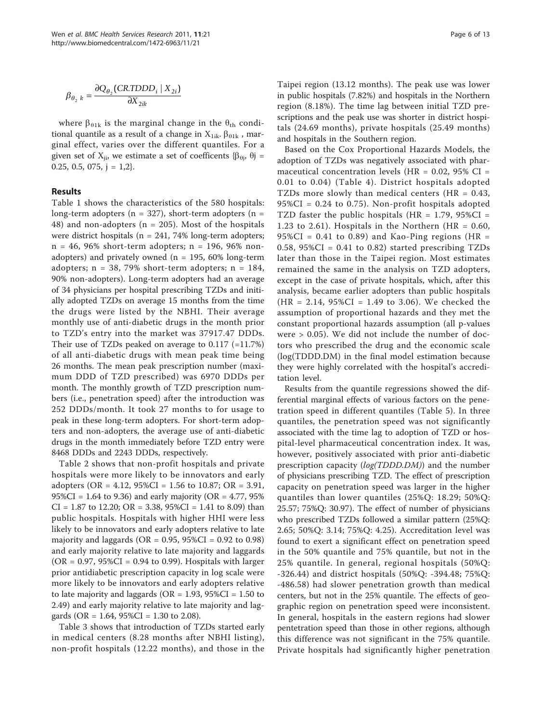$$
\beta_{\theta_2\;k}=\frac{\partial Q_{\theta_2}(CR,TDDD_i\mid X_{2i})}{\partial X_{2ik}}
$$

where  $\beta_{\theta 1k}$  is the marginal change in the  $\theta_{\text{th}}$  conditional quantile as a result of a change in  $X_{1ik}$ .  $\beta_{01k}$ , marginal effect, varies over the different quantiles. For a given set of  $X_{ji}$ , we estimate a set of coefficents {β<sub>θj</sub>, θj = 0.25, 0.5, 075,  $j = 1,2$ .

### Results

Table [1](#page-3-0) shows the characteristics of the 580 hospitals: long-term adopters ( $n = 327$ ), short-term adopters ( $n =$ 48) and non-adopters ( $n = 205$ ). Most of the hospitals were district hospitals (n = 241, 74% long-term adopters;  $n = 46$ , 96% short-term adopters;  $n = 196$ , 96% nonadopters) and privately owned ( $n = 195, 60\%$  long-term adopters;  $n = 38$ , 79% short-term adopters;  $n = 184$ , 90% non-adopters). Long-term adopters had an average of 34 physicians per hospital prescribing TZDs and initially adopted TZDs on average 15 months from the time the drugs were listed by the NBHI. Their average monthly use of anti-diabetic drugs in the month prior to TZD's entry into the market was 37917.47 DDDs. Their use of TZDs peaked on average to 0.117 (=11.7%) of all anti-diabetic drugs with mean peak time being 26 months. The mean peak prescription number (maximum DDD of TZD prescribed) was 6970 DDDs per month. The monthly growth of TZD prescription numbers (i.e., penetration speed) after the introduction was 252 DDDs/month. It took 27 months to for usage to peak in these long-term adopters. For short-term adopters and non-adopters, the average use of anti-diabetic drugs in the month immediately before TZD entry were 8468 DDDs and 2243 DDDs, respectively.

Table [2](#page-6-0) shows that non-profit hospitals and private hospitals were more likely to be innovators and early adopters (OR = 4.12,  $95\%CI = 1.56$  to 10.87; OR = 3.91, 95%CI = 1.64 to 9.36) and early majority (OR = 4.77, 95%  $CI = 1.87$  to 12.20;  $OR = 3.38$ ,  $95\%CI = 1.41$  to 8.09) than public hospitals. Hospitals with higher HHI were less likely to be innovators and early adopters relative to late majority and laggards ( $OR = 0.95$ ,  $95\%CI = 0.92$  to 0.98) and early majority relative to late majority and laggards (OR = 0.97, 95%CI = 0.94 to 0.99). Hospitals with larger prior antidiabetic prescription capacity in log scale were more likely to be innovators and early adopters relative to late majority and laggards ( $OR = 1.93$ ,  $95\%CI = 1.50$  to 2.49) and early majority relative to late majority and laggards (OR = 1.64,  $95\%CI = 1.30$  to 2.08).

Table [3](#page-6-0) shows that introduction of TZDs started early in medical centers (8.28 months after NBHI listing), non-profit hospitals (12.22 months), and those in the Taipei region (13.12 months). The peak use was lower in public hospitals (7.82%) and hospitals in the Northern region (8.18%). The time lag between initial TZD prescriptions and the peak use was shorter in district hospitals (24.69 months), private hospitals (25.49 months) and hospitals in the Southern region.

Based on the Cox Proportional Hazards Models, the adoption of TZDs was negatively associated with pharmaceutical concentration levels (HR =  $0.02$ , 95% CI = 0.01 to 0.04) (Table [4\)](#page-7-0). District hospitals adopted TZDs more slowly than medical centers (HR = 0.43, 95%CI = 0.24 to 0.75). Non-profit hospitals adopted TZD faster the public hospitals (HR =  $1.79$ ,  $95\%CI =$ 1.23 to 2.61). Hospitals in the Northern (HR =  $0.60$ ,  $95\%CI = 0.41$  to 0.89) and Kao-Ping regions (HR = 0.58,  $95\%CI = 0.41$  to 0.82) started prescribing TZDs later than those in the Taipei region. Most estimates remained the same in the analysis on TZD adopters, except in the case of private hospitals, which, after this analysis, became earlier adopters than public hospitals  $(HR = 2.14, 95\%CI = 1.49 \text{ to } 3.06)$ . We checked the assumption of proportional hazards and they met the constant proportional hazards assumption (all p-values were  $> 0.05$ ). We did not include the number of doctors who prescribed the drug and the economic scale (log(TDDD.DM) in the final model estimation because they were highly correlated with the hospital's accreditation level.

Results from the quantile regressions showed the differential marginal effects of various factors on the penetration speed in different quantiles (Table [5\)](#page-8-0). In three quantiles, the penetration speed was not significantly associated with the time lag to adoption of TZD or hospital-level pharmaceutical concentration index. It was, however, positively associated with prior anti-diabetic prescription capacity (log(TDDD.DM)) and the number of physicians prescribing TZD. The effect of prescription capacity on penetration speed was larger in the higher quantiles than lower quantiles (25%Q: 18.29; 50%Q: 25.57; 75%Q: 30.97). The effect of number of physicians who prescribed TZDs followed a similar pattern (25%Q: 2.65; 50%Q: 3.14; 75%Q: 4.25). Accreditation level was found to exert a significant effect on penetration speed in the 50% quantile and 75% quantile, but not in the 25% quantile. In general, regional hospitals (50%Q: -326.44) and district hospitals (50%Q: -394.48; 75%Q: -486.58) had slower penetration growth than medical centers, but not in the 25% quantile. The effects of geographic region on penetration speed were inconsistent. In general, hospitals in the eastern regions had slower pentetration speed than those in other regions, although this difference was not significant in the 75% quantile. Private hospitals had significantly higher penetration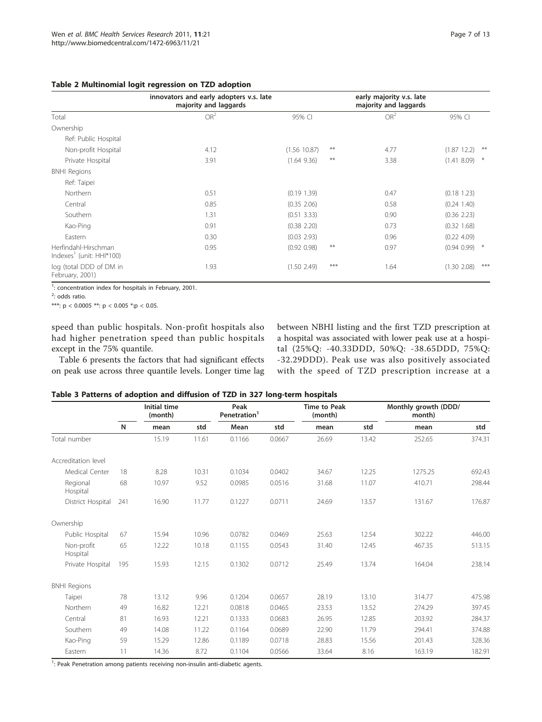<span id="page-6-0"></span>

| Table 2 Multinomial logit regression on TZD adoption |
|------------------------------------------------------|
|------------------------------------------------------|

|                                                              | innovators and early adopters v.s. late<br>majority and laggards |              |       | early majority v.s. late<br>majority and laggards |                 |        |
|--------------------------------------------------------------|------------------------------------------------------------------|--------------|-------|---------------------------------------------------|-----------------|--------|
| Total                                                        | OR <sup>2</sup>                                                  | 95% CI       |       | OR <sup>2</sup>                                   | 95% CI          |        |
| Ownership                                                    |                                                                  |              |       |                                                   |                 |        |
| Ref: Public Hospital                                         |                                                                  |              |       |                                                   |                 |        |
| Non-profit Hospital                                          | 4.12                                                             | (1.56 10.87) | **    | 4.77                                              | (1.87 12.2)     | $***$  |
| Private Hospital                                             | 3.91                                                             | (1.64, 9.36) | **    | 3.38                                              | (1.41 8.09)     | $\ast$ |
| <b>BNHI Regions</b>                                          |                                                                  |              |       |                                                   |                 |        |
| Ref: Taipei                                                  |                                                                  |              |       |                                                   |                 |        |
| Northern                                                     | 0.51                                                             | (0.19 1.39)  |       | 0.47                                              | $(0.18 \t1.23)$ |        |
| Central                                                      | 0.85                                                             | (0.35 2.06)  |       | 0.58                                              | (0.24 1.40)     |        |
| Southern                                                     | 1.31                                                             | (0.51 3.33)  |       | 0.90                                              | (0.36 2.23)     |        |
| Kao-Ping                                                     | 0.91                                                             | (0.38 2.20)  |       | 0.73                                              | (0.32 1.68)     |        |
| Eastern                                                      | 0.30                                                             | (0.03 2.93)  |       | 0.96                                              | (0.22, 4.09)    |        |
| Herfindahl-Hirschman<br>Indexes <sup>1</sup> (unit: HHI*100) | 0.95                                                             | (0.92 0.98)  | $***$ | 0.97                                              | (0.94 0.99)     | $*$    |
| log (total DDD of DM in<br>February, 2001)                   | 1.93                                                             | (1.50 2.49)  | ***   | 1.64                                              | (1.30 2.08)     | ***    |

<sup>1</sup>: concentration index for hospitals in February, 2001.

<sup>2</sup>: odds ratio.

\*\*\*:  $p < 0.0005$  \*\*:  $p < 0.005$  \*:  $p < 0.05$ .

speed than public hospitals. Non-profit hospitals also had higher penetration speed than public hospitals except in the 75% quantile.

Table [6](#page-9-0) presents the factors that had significant effects on peak use across three quantile levels. Longer time lag

between NBHI listing and the first TZD prescription at a hospital was associated with lower peak use at a hospital (25%Q: -40.33DDD, 50%Q: -38.65DDD, 75%Q: -32.29DDD). Peak use was also positively associated with the speed of TZD prescription increase at a

|  |  |  |  |  |  |  |  |  | Table 3 Patterns of adoption and diffusion of TZD in 327 long-term hospitals |  |
|--|--|--|--|--|--|--|--|--|------------------------------------------------------------------------------|--|
|--|--|--|--|--|--|--|--|--|------------------------------------------------------------------------------|--|

|                        |     | Initial time<br>(month) |       | Peak<br>Penetration <sup>1</sup> |        | <b>Time to Peak</b><br>(month) |       | Monthly growth (DDD/<br>month) |        |
|------------------------|-----|-------------------------|-------|----------------------------------|--------|--------------------------------|-------|--------------------------------|--------|
|                        | N   | mean                    | std   | Mean                             | std    | mean                           | std   | mean                           | std    |
| Total number           |     | 15.19                   | 11.61 | 0.1166                           | 0.0667 | 26.69                          | 13.42 | 252.65                         | 374.31 |
| Accreditation level    |     |                         |       |                                  |        |                                |       |                                |        |
| Medical Center         | 18  | 8.28                    | 10.31 | 0.1034                           | 0.0402 | 34.67                          | 12.25 | 1275.25                        | 692.43 |
| Regional<br>Hospital   | 68  | 10.97                   | 9.52  | 0.0985                           | 0.0516 | 31.68                          | 11.07 | 410.71                         | 298.44 |
| District Hospital      | 241 | 16.90                   | 11.77 | 0.1227                           | 0.0711 | 24.69                          | 13.57 | 131.67                         | 176.87 |
| Ownership              |     |                         |       |                                  |        |                                |       |                                |        |
| Public Hospital        | 67  | 15.94                   | 10.96 | 0.0782                           | 0.0469 | 25.63                          | 12.54 | 302.22                         | 446.00 |
| Non-profit<br>Hospital | 65  | 12.22                   | 10.18 | 0.1155                           | 0.0543 | 31.40                          | 12.45 | 467.35                         | 513.15 |
| Private Hospital       | 195 | 15.93                   | 12.15 | 0.1302                           | 0.0712 | 25.49                          | 13.74 | 164.04                         | 238.14 |
| <b>BNHI Regions</b>    |     |                         |       |                                  |        |                                |       |                                |        |
| Taipei                 | 78  | 13.12                   | 9.96  | 0.1204                           | 0.0657 | 28.19                          | 13.10 | 314.77                         | 475.98 |
| Northern               | 49  | 16.82                   | 12.21 | 0.0818                           | 0.0465 | 23.53                          | 13.52 | 274.29                         | 397.45 |
| Central                | 81  | 16.93                   | 12.21 | 0.1333                           | 0.0683 | 26.95                          | 12.85 | 203.92                         | 284.37 |
| Southern               | 49  | 14.08                   | 11.22 | 0.1164                           | 0.0689 | 22.90                          | 11.79 | 294.41                         | 374.88 |
| Kao-Ping               | 59  | 15.29                   | 12.86 | 0.1189                           | 0.0718 | 28.83                          | 15.56 | 201.43                         | 328.36 |
| Eastern                | 11  | 14.36                   | 8.72  | 0.1104                           | 0.0566 | 33.64                          | 8.16  | 163.19                         | 182.91 |

<sup>1</sup>: Peak Penetration among patients receiving non-insulin anti-diabetic agents.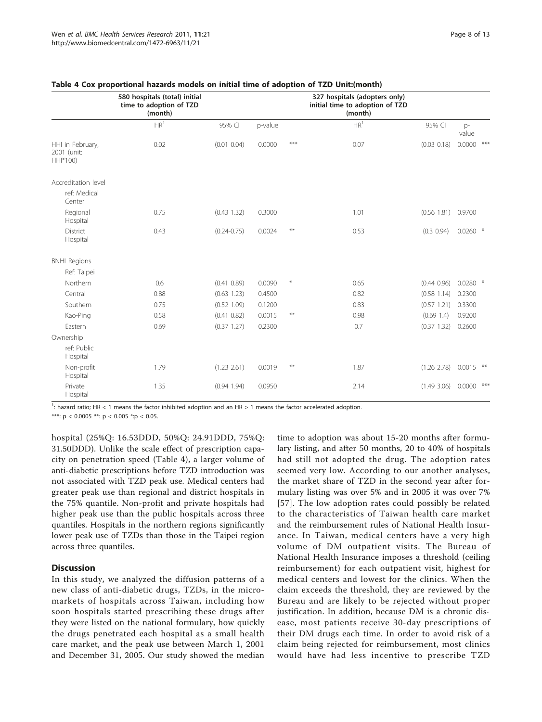|                                             | 580 hospitals (total) initial<br>time to adoption of TZD<br>(month) |                 |         |        | 327 hospitals (adopters only)<br>initial time to adoption of TZD<br>(month) |             |                |     |
|---------------------------------------------|---------------------------------------------------------------------|-----------------|---------|--------|-----------------------------------------------------------------------------|-------------|----------------|-----|
|                                             | HR <sup>1</sup>                                                     | 95% CI          | p-value |        | HR <sup>1</sup>                                                             | 95% CI      | $D^-$<br>value |     |
| HHI in February,<br>2001 (unit:<br>HHI*100) | 0.02                                                                | (0.01 0.04)     | 0.0000  | ***    | 0.07                                                                        | (0.03 0.18) | 0.0000         | *** |
| Accreditation level                         |                                                                     |                 |         |        |                                                                             |             |                |     |
| ref: Medical<br>Center                      |                                                                     |                 |         |        |                                                                             |             |                |     |
| Regional<br>Hospital                        | 0.75                                                                | (0.43 1.32)     | 0.3000  |        | 1.01                                                                        | (0.56 1.81) | 0.9700         |     |
| District<br>Hospital                        | 0.43                                                                | $(0.24 - 0.75)$ | 0.0024  | $**$   | 0.53                                                                        | (0.3 0.94)  | $0.0260$ *     |     |
| <b>BNHI Regions</b>                         |                                                                     |                 |         |        |                                                                             |             |                |     |
| Ref: Taipei                                 |                                                                     |                 |         |        |                                                                             |             |                |     |
| Northern                                    | 0.6                                                                 | (0.41 0.89)     | 0.0090  | $\ast$ | 0.65                                                                        | (0.44 0.96) | $0.0280$ *     |     |
| Central                                     | 0.88                                                                | $(0.63 \t1.23)$ | 0.4500  |        | 0.82                                                                        | (0.58 1.14) | 0.2300         |     |
| Southern                                    | 0.75                                                                | (0.52 1.09)     | 0.1200  |        | 0.83                                                                        | (0.57 1.21) | 0.3300         |     |
| Kao-Ping                                    | 0.58                                                                | (0.41 0.82)     | 0.0015  | **     | 0.98                                                                        | (0.69 1.4)  | 0.9200         |     |
| Eastern                                     | 0.69                                                                | (0.37 1.27)     | 0.2300  |        | 0.7                                                                         | (0.37 1.32) | 0.2600         |     |
| Ownership                                   |                                                                     |                 |         |        |                                                                             |             |                |     |
| ref: Public<br>Hospital                     |                                                                     |                 |         |        |                                                                             |             |                |     |
| Non-profit<br>Hospital                      | 1.79                                                                | (1.23 2.61)     | 0.0019  | **     | 1.87                                                                        | (1.26 2.78) | $0.0015$ **    |     |
| Private<br>Hospital                         | 1.35                                                                | (0.94 1.94)     | 0.0950  |        | 2.14                                                                        | (1.49 3.06) | 0.0000         | *** |

#### <span id="page-7-0"></span>Table 4 Cox proportional hazards models on initial time of adoption of TZD Unit:(month)

1 : hazard ratio; HR < 1 means the factor inhibited adoption and an HR > 1 means the factor accelerated adoption.

\*\*\*:  $p < 0.0005$  \*\*:  $p < 0.005$  \*:  $p < 0.05$ .

hospital (25%Q: 16.53DDD, 50%Q: 24.91DDD, 75%Q: 31.50DDD). Unlike the scale effect of prescription capacity on penetration speed (Table 4), a larger volume of anti-diabetic prescriptions before TZD introduction was not associated with TZD peak use. Medical centers had greater peak use than regional and district hospitals in the 75% quantile. Non-profit and private hospitals had higher peak use than the public hospitals across three quantiles. Hospitals in the northern regions significantly lower peak use of TZDs than those in the Taipei region across three quantiles.

## **Discussion**

In this study, we analyzed the diffusion patterns of a new class of anti-diabetic drugs, TZDs, in the micromarkets of hospitals across Taiwan, including how soon hospitals started prescribing these drugs after they were listed on the national formulary, how quickly the drugs penetrated each hospital as a small health care market, and the peak use between March 1, 2001 and December 31, 2005. Our study showed the median

time to adoption was about 15-20 months after formulary listing, and after 50 months, 20 to 40% of hospitals had still not adopted the drug. The adoption rates seemed very low. According to our another analyses, the market share of TZD in the second year after formulary listing was over 5% and in 2005 it was over 7% [[57](#page-12-0)]. The low adoption rates could possibly be related to the characteristics of Taiwan health care market and the reimbursement rules of National Health Insurance. In Taiwan, medical centers have a very high volume of DM outpatient visits. The Bureau of National Health Insurance imposes a threshold (ceiling reimbursement) for each outpatient visit, highest for medical centers and lowest for the clinics. When the claim exceeds the threshold, they are reviewed by the Bureau and are likely to be rejected without proper justification. In addition, because DM is a chronic disease, most patients receive 30-day prescriptions of their DM drugs each time. In order to avoid risk of a claim being rejected for reimbursement, most clinics would have had less incentive to prescribe TZD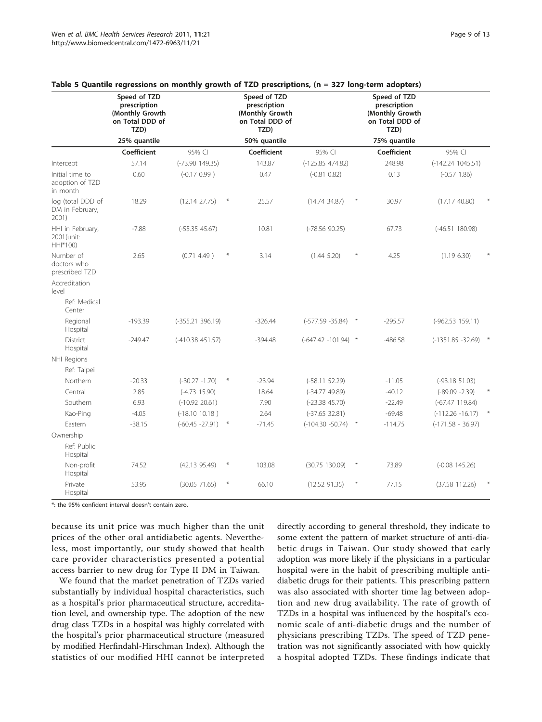|                                                | Speed of TZD<br>prescription<br>(Monthly Growth<br>on Total DDD of<br>TZD) |                     |        | Speed of TZD<br>prescription<br>(Monthly Growth<br>on Total DDD of<br>TZD) |                        |         | Speed of TZD<br>prescription<br>(Monthly Growth<br>on Total DDD of<br>TZD) |                      |  |
|------------------------------------------------|----------------------------------------------------------------------------|---------------------|--------|----------------------------------------------------------------------------|------------------------|---------|----------------------------------------------------------------------------|----------------------|--|
|                                                | 25% quantile                                                               |                     |        | 50% quantile                                                               |                        |         | 75% quantile                                                               |                      |  |
|                                                | Coefficient                                                                | 95% CI              |        | Coefficient                                                                | 95% CI                 |         | Coefficient                                                                | 95% CI               |  |
| Intercept                                      | 57.14                                                                      | $(-73.90 149.35)$   |        | 143.87                                                                     | $(-125.85474.82)$      |         | 248.98                                                                     | $(-142.24 1045.51)$  |  |
| Initial time to<br>adoption of TZD<br>in month | 0.60                                                                       | $(-0.17 0.99)$      |        | 0.47                                                                       | $(-0.81 0.82)$         |         | 0.13                                                                       | $(-0.57 1.86)$       |  |
| log (total DDD of<br>DM in February,<br>2001)  | 18.29                                                                      | (12.14 27.75)       |        | 25.57                                                                      | (14.7434.87)           |         | 30.97                                                                      | (17.17 40.80)        |  |
| HHI in February,<br>2001(unit:<br>HHI*100)     | $-7.88$                                                                    | $(-55.3545.67)$     |        | 10.81                                                                      | $(-78.5690.25)$        |         | 67.73                                                                      | $(-46.51 180.98)$    |  |
| Number of<br>doctors who<br>prescribed TZD     | 2.65                                                                       | (0.714.49)          |        | 3.14                                                                       | (1.445.20)             |         | 4.25                                                                       | (1.196.30)           |  |
| Accreditation<br>level                         |                                                                            |                     |        |                                                                            |                        |         |                                                                            |                      |  |
| Ref: Medical<br>Center                         |                                                                            |                     |        |                                                                            |                        |         |                                                                            |                      |  |
| Regional<br>Hospital                           | $-193.39$                                                                  | $(-355.21396.19)$   |        | $-326.44$                                                                  | $(-577.59 - 35.84)$    | $*$     | $-295.57$                                                                  | $(-962.53 159.11)$   |  |
| District<br>Hospital                           | $-249.47$                                                                  | $(-410.38451.57)$   |        | $-394.48$                                                                  | $(-647.42 - 101.94)$ * |         | $-486.58$                                                                  | $(-1351.85 - 32.69)$ |  |
| NHI Regions                                    |                                                                            |                     |        |                                                                            |                        |         |                                                                            |                      |  |
| Ref: Taipei                                    |                                                                            |                     |        |                                                                            |                        |         |                                                                            |                      |  |
| Northern                                       | $-20.33$                                                                   | $(-30.27 -1.70)$    | $\ast$ | $-23.94$                                                                   | $(-58.1152.29)$        |         | $-11.05$                                                                   | $(-93.1851.03)$      |  |
| Central                                        | 2.85                                                                       | $(-4.73 15.90)$     |        | 18.64                                                                      | $(-34.7749.89)$        |         | $-40.12$                                                                   | $(-89.09 - 2.39)$    |  |
| Southern                                       | 6.93                                                                       | $(-10.92 20.61)$    |        | 7.90                                                                       | $(-23.3845.70)$        |         | $-22.49$                                                                   | $(-67.47 119.84)$    |  |
| Kao-Ping                                       | $-4.05$                                                                    | $(-18.10 10.18)$    |        | 2.64                                                                       | $(-37.6532.81)$        |         | $-69.48$                                                                   | $(-112.26 - 16.17)$  |  |
| Fastern                                        | $-38.15$                                                                   | $(-60.45 -27.91)$ * |        | $-71.45$                                                                   | $(-104.30 - 50.74)$ *  |         | $-114.75$                                                                  | $(-171.58 - 36.97)$  |  |
| Ownership                                      |                                                                            |                     |        |                                                                            |                        |         |                                                                            |                      |  |
| Ref: Public<br>Hospital                        |                                                                            |                     |        |                                                                            |                        |         |                                                                            |                      |  |
| Non-profit<br>Hospital                         | 74.52                                                                      | (42.1395.49)        | $\ast$ | 103.08                                                                     | (30.75 130.09)         | $\ast$  | 73.89                                                                      | $(-0.08145.26)$      |  |
| Private<br>Hospital                            | 53.95                                                                      | (30.0571.65)        |        | 66.10                                                                      | (12.5291.35)           | $\star$ | 77.15                                                                      | (37.58 112.26)       |  |

#### <span id="page-8-0"></span>Table 5 Quantile regressions on monthly growth of TZD prescriptions, (n = 327 long-term adopters)

\*: the 95% confident interval doesn't contain zero.

because its unit price was much higher than the unit prices of the other oral antidiabetic agents. Nevertheless, most importantly, our study showed that health care provider characteristics presented a potential access barrier to new drug for Type II DM in Taiwan.

We found that the market penetration of TZDs varied substantially by individual hospital characteristics, such as a hospital's prior pharmaceutical structure, accreditation level, and ownership type. The adoption of the new drug class TZDs in a hospital was highly correlated with the hospital's prior pharmaceutical structure (measured by modified Herfindahl-Hirschman Index). Although the statistics of our modified HHI cannot be interpreted directly according to general threshold, they indicate to some extent the pattern of market structure of anti-diabetic drugs in Taiwan. Our study showed that early adoption was more likely if the physicians in a particular hospital were in the habit of prescribing multiple antidiabetic drugs for their patients. This prescribing pattern was also associated with shorter time lag between adoption and new drug availability. The rate of growth of TZDs in a hospital was influenced by the hospital's economic scale of anti-diabetic drugs and the number of physicians prescribing TZDs. The speed of TZD penetration was not significantly associated with how quickly a hospital adopted TZDs. These findings indicate that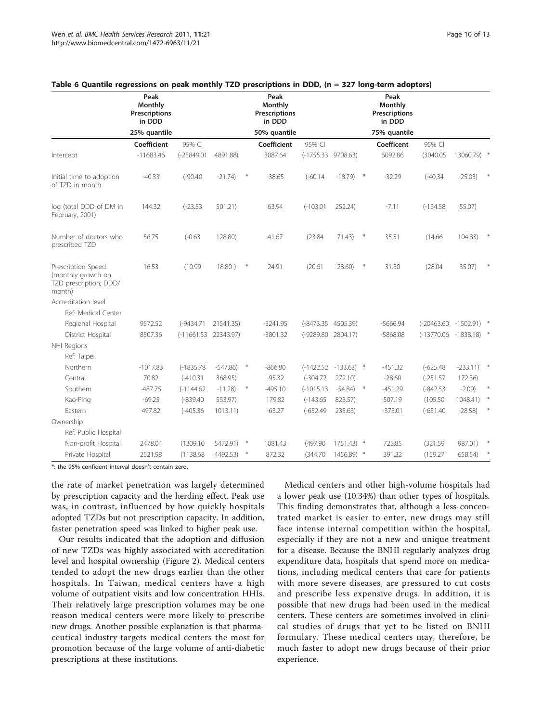|                                                                              | Peak<br><b>Monthly</b><br><b>Prescriptions</b><br>in DDD |                        |           |        | Peak<br><b>Monthly</b><br><b>Prescriptions</b><br>in DDD |                        |             |        | Peak<br>Monthly<br><b>Prescriptions</b><br>in DDD |                          |             |        |
|------------------------------------------------------------------------------|----------------------------------------------------------|------------------------|-----------|--------|----------------------------------------------------------|------------------------|-------------|--------|---------------------------------------------------|--------------------------|-------------|--------|
|                                                                              | 25% quantile                                             |                        |           |        | 50% quantile                                             |                        |             |        | 75% quantile                                      |                          |             |        |
|                                                                              | Coefficient                                              | 95% CI                 |           |        | Coefficient                                              | 95% CI                 |             |        | Coefficent                                        | 95% CI                   |             |        |
| Intercept                                                                    | $-11683.46$                                              | $(-25849.01$           | 4891.88)  |        | 3087.64                                                  | $(-1755.3399708.63)$   |             |        | 6092.86                                           | (3040.05)                | 13060.79) * |        |
| Initial time to adoption<br>of TZD in month                                  | $-40.33$                                                 | $(-90.40)$             | $-21.74)$ | $\ast$ | $-38.65$                                                 | $(-60.14)$             | $-18.79$    | $*$    | $-32.29$                                          | $(-40.34)$               | $-25.03)$   |        |
| log (total DDD of DM in<br>February, 2001)                                   | 144.32                                                   | $(-23.53)$             | 501.21)   |        | 63.94                                                    | $(-103.01)$            | 252.24)     |        | $-7.11$                                           | $(-134.58)$              | 55.07)      |        |
| Number of doctors who<br>prescribed TZD                                      | 56.75                                                    | $(-0.63)$              | 128.80)   |        | 41.67                                                    | (23.84)                | 71.43)      | $\ast$ | 35.51                                             | (14.66)                  | 104.83)     |        |
| Prescription Speed<br>(monthly growth on<br>TZD prescription; DDD/<br>month) | 16.53                                                    | (10.99)                | 18.80)    | $\ast$ | 24.91                                                    | (20.61)                | $28.60$ )   | $*$    | 31.50                                             | (28.04)                  | 35.07)      |        |
| Accreditation level                                                          |                                                          |                        |           |        |                                                          |                        |             |        |                                                   |                          |             |        |
| Ref: Medical Center                                                          |                                                          |                        |           |        |                                                          |                        |             |        |                                                   |                          |             |        |
| Regional Hospital                                                            | 9572.52                                                  | $(-9434.71)$           | 21541.35) |        | $-3241.95$                                               | $(-8473.35 4505.39)$   |             |        | $-5666.94$                                        | $(-20463.60 -1502.91)$ * |             |        |
| District Hospital                                                            | 8507.36                                                  | $(-11661.53 22343.97)$ |           |        | $-3801.32$                                               | (-9289.80 2804.17)     |             |        | $-5868.08$                                        | $(-13770.06 -1838.18)$   |             |        |
| NHI Regions                                                                  |                                                          |                        |           |        |                                                          |                        |             |        |                                                   |                          |             |        |
| Ref: Taipei                                                                  |                                                          |                        |           |        |                                                          |                        |             |        |                                                   |                          |             |        |
| Northern                                                                     | $-1017.83$                                               | $(-1835.78)$           | $-547.86$ | $\ast$ | $-866.80$                                                | $(-1422.52 -133.63)$ * |             |        | $-451.32$                                         | $(-625.48)$              | $-233.11$ * |        |
| Central                                                                      | 70.82                                                    | $(-410.31)$            | 368.95)   |        | $-95.32$                                                 | $(-304.72)$            | 272.10)     |        | $-28.60$                                          | $(-251.57)$              | 172.36)     |        |
| Southern                                                                     | $-487.75$                                                | $(-1144.62)$           | $-11.28$  | $\ast$ | $-495.10$                                                | $(-1015.13)$           | $-54.84)$   | $*$    | $-451.29$                                         | $(-842.53)$              | $-2.09$ )   |        |
| Kao-Ping                                                                     | $-69.25$                                                 | $(-839.40)$            | 553.97)   |        | 179.82                                                   | $(-143.65)$            | 823.57)     |        | 507.19                                            | (105.50)                 | 1048.41)    |        |
| Eastern                                                                      | 497.82                                                   | $(-405.36)$            | 1013.11)  |        | $-63.27$                                                 | $(-652.49)$            | 235.63)     |        | $-375.01$                                         | $(-651.40)$              | $-28.58$    | $\ast$ |
| Ownership                                                                    |                                                          |                        |           |        |                                                          |                        |             |        |                                                   |                          |             |        |
| Ref: Public Hospital                                                         |                                                          |                        |           |        |                                                          |                        |             |        |                                                   |                          |             |        |
| Non-profit Hospital                                                          | 2478.04                                                  | (1309.10               | 5472.91)  | $*$    | 1081.43                                                  | (497.90)               | $1751.43$ * |        | 725.85                                            | (321.59)                 | 987.01)     |        |
| Private Hospital                                                             | 2521.98                                                  | (1138.68)              | 4492.53)  | $*$    | 872.32                                                   | (344.70)               | 1456.89)    | $*$    | 391.32                                            | (159.27                  | 658.54)     |        |

#### <span id="page-9-0"></span>Table 6 Quantile regressions on peak monthly TZD prescriptions in DDD, (n = 327 long-term adopters)

\*: the 95% confident interval doesn't contain zero.

the rate of market penetration was largely determined by prescription capacity and the herding effect. Peak use was, in contrast, influenced by how quickly hospitals adopted TZDs but not prescription capacity. In addition, faster penetration speed was linked to higher peak use.

Our results indicated that the adoption and diffusion of new TZDs was highly associated with accreditation level and hospital ownership (Figure [2](#page-10-0)). Medical centers tended to adopt the new drugs earlier than the other hospitals. In Taiwan, medical centers have a high volume of outpatient visits and low concentration HHIs. Their relatively large prescription volumes may be one reason medical centers were more likely to prescribe new drugs. Another possible explanation is that pharmaceutical industry targets medical centers the most for promotion because of the large volume of anti-diabetic prescriptions at these institutions.

Medical centers and other high-volume hospitals had a lower peak use (10.34%) than other types of hospitals. This finding demonstrates that, although a less-concentrated market is easier to enter, new drugs may still face intense internal competition within the hospital, especially if they are not a new and unique treatment for a disease. Because the BNHI regularly analyzes drug expenditure data, hospitals that spend more on medications, including medical centers that care for patients with more severe diseases, are pressured to cut costs and prescribe less expensive drugs. In addition, it is possible that new drugs had been used in the medical centers. These centers are sometimes involved in clinical studies of drugs that yet to be listed on BNHI formulary. These medical centers may, therefore, be much faster to adopt new drugs because of their prior experience.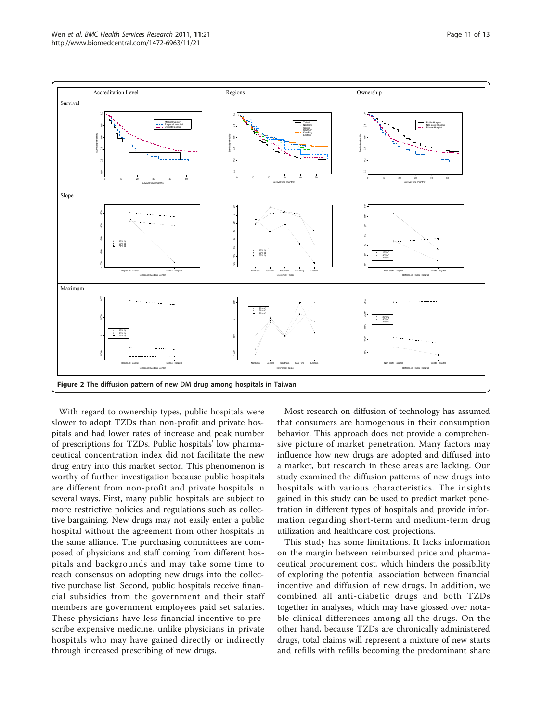<span id="page-10-0"></span>

With regard to ownership types, public hospitals were slower to adopt TZDs than non-profit and private hospitals and had lower rates of increase and peak number of prescriptions for TZDs. Public hospitals' low pharmaceutical concentration index did not facilitate the new drug entry into this market sector. This phenomenon is worthy of further investigation because public hospitals are different from non-profit and private hospitals in several ways. First, many public hospitals are subject to more restrictive policies and regulations such as collective bargaining. New drugs may not easily enter a public hospital without the agreement from other hospitals in the same alliance. The purchasing committees are composed of physicians and staff coming from different hospitals and backgrounds and may take some time to reach consensus on adopting new drugs into the collective purchase list. Second, public hospitals receive financial subsidies from the government and their staff members are government employees paid set salaries. These physicians have less financial incentive to prescribe expensive medicine, unlike physicians in private hospitals who may have gained directly or indirectly through increased prescribing of new drugs.

Most research on diffusion of technology has assumed that consumers are homogenous in their consumption behavior. This approach does not provide a comprehensive picture of market penetration. Many factors may influence how new drugs are adopted and diffused into a market, but research in these areas are lacking. Our study examined the diffusion patterns of new drugs into hospitals with various characteristics. The insights gained in this study can be used to predict market penetration in different types of hospitals and provide information regarding short-term and medium-term drug utilization and healthcare cost projections.

This study has some limitations. It lacks information on the margin between reimbursed price and pharmaceutical procurement cost, which hinders the possibility of exploring the potential association between financial incentive and diffusion of new drugs. In addition, we combined all anti-diabetic drugs and both TZDs together in analyses, which may have glossed over notable clinical differences among all the drugs. On the other hand, because TZDs are chronically administered drugs, total claims will represent a mixture of new starts and refills with refills becoming the predominant share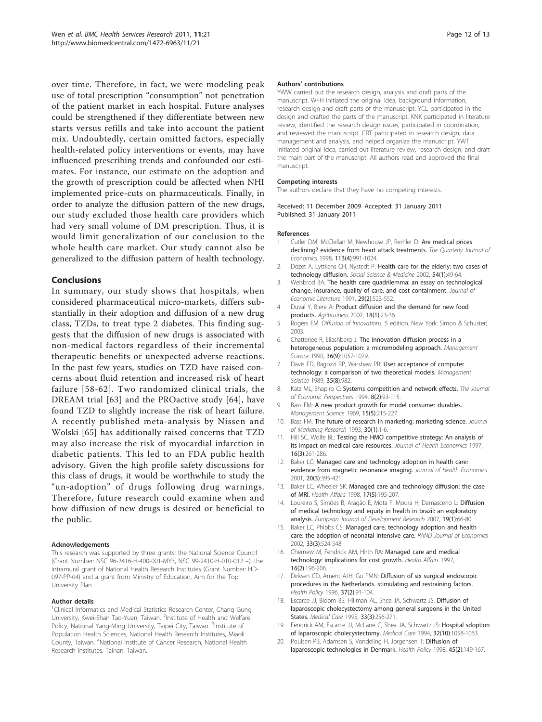<span id="page-11-0"></span>over time. Therefore, in fact, we were modeling peak use of total prescription "consumption" not penetration of the patient market in each hospital. Future analyses could be strengthened if they differentiate between new starts versus refills and take into account the patient mix. Undoubtedly, certain omitted factors, especially health-related policy interventions or events, may have influenced prescribing trends and confounded our estimates. For instance, our estimate on the adoption and the growth of prescription could be affected when NHI implemented price-cuts on pharmaceuticals. Finally, in order to analyze the diffusion pattern of the new drugs, our study excluded those health care providers which had very small volume of DM prescription. Thus, it is would limit generalization of our conclusion to the whole health care market. Our study cannot also be generalized to the diffusion pattern of health technology.

## **Conclusions**

In summary, our study shows that hospitals, when considered pharmaceutical micro-markets, differs substantially in their adoption and diffusion of a new drug class, TZDs, to treat type 2 diabetes. This finding suggests that the diffusion of new drugs is associated with non-medical factors regardless of their incremental therapeutic benefits or unexpected adverse reactions. In the past few years, studies on TZD have raised concerns about fluid retention and increased risk of heart failure [[58](#page-12-0)-[62](#page-12-0)]. Two randomized clinical trials, the DREAM trial [\[63\]](#page-12-0) and the PROactive study [[64](#page-12-0)], have found TZD to slightly increase the risk of heart failure. A recently published meta-analysis by Nissen and Wolski [\[65](#page-12-0)] has additionally raised concerns that TZD may also increase the risk of myocardial infarction in diabetic patients. This led to an FDA public health advisory. Given the high profile safety discussions for this class of drugs, it would be worthwhile to study the "un-adoption" of drugs following drug warnings. Therefore, future research could examine when and how diffusion of new drugs is desired or beneficial to the public.

#### Acknowledgements

This research was supported by three grants: the National Science Council (Grant Number: NSC 96-2416-H-400-001-MY3, NSC 99-2410-H-010-012 –), the intramural grant of National Health Research Institutes (Grant Number: HD-097-PP-04) and a grant from Ministry of Education, Aim for the Top University Plan.

#### Author details

<sup>1</sup>Clinical Informatics and Medical Statistics Research Center, Chang Gung University, Kwei-Shan Tao-Yuan, Taiwan. <sup>2</sup>Institute of Health and Welfare Policy, National Yang-Ming University, Taipei City, Taiwan. <sup>3</sup>Institute of Population Health Sciences, National Health Research Institutes, Miaoli County, Taiwan. <sup>4</sup>National Institute of Cancer Research, National Health Research Institutes, Tainan, Taiwan.

#### Authors' contributions

YWW carried out the research design, analysis and draft parts of the manuscript. WFH initiated the original idea, background information, research design and draft parts of the manuscript. YCL participated in the design and drafted the parts of the manuscript. KNK participated in literature review, identified the research design issues, participated in coordination, and reviewed the manuscript. CRT participated in research design, data management and analysis, and helped organize the manuscript. YWT initiated original idea, carried out literature review, research design, and draft the main part of the manuscript. All authors read and approved the final manuscript.

#### Competing interests

The authors declare that they have no competing interests.

Received: 11 December 2009 Accepted: 31 January 2011 Published: 31 January 2011

#### References

- 1. Cutler DM, McClellan M, Newhouse JP, Remler D: Are medical prices declining? evidence from heart attack treatments. The Quarterly Journal of Economics 1998, 113(4):991-1024.
- 2. Dozet A, Lyttkens CH, Nystedt P: Health care for the elderly: two cases of technology diffusion. Social Science & Medicine 2002, 54(1):49-64.
- 3. Weisbrod BA: The health care quadrilemma: an essay on technological change, insurance, quality of care, and cost containment. Journal of Economic Literature 1991, 29(2):523-552.
- 4. Duval Y, Biere A: Product diffusion and the demand for new food products. Agribusiness 2002, 18(1):23-36.
- 5. Rogers EM: Diffusion of Innovations. 5 edition. New York: Simon & Schuster; 2003.
- 6. Chatterjee R, Eliashberg J: The innovation diffusion process in a heterogeneous population: a micromodeling approach. Management Science 1990, 36(9):1057-1079.
- 7. Davis FD, Bagozzi RP, Warshaw PR: User acceptance of computer technology: a comparison of two theoretical models. Management Science 1989, 35(8):982.
- 8. Katz ML, Shapiro C: Systems competition and network effects. The Journal of Economic Perspectives 1994, 8(2):93-115.
- 9. Bass FM: A new product growth for model consumer durables. Management Science 1969, 15(5):215-227.
- 10. Bass FM: The future of research in marketing: marketing science. Journal of Marketing Research 1993, 30(1):1-6.
- 11. Hill SC, Wolfe BL: [Testing the HMO competitive strategy: An analysis of](http://www.ncbi.nlm.nih.gov/pubmed/10169301?dopt=Abstract) [its impact on medical care resources.](http://www.ncbi.nlm.nih.gov/pubmed/10169301?dopt=Abstract) Journal of Health Economics 1997, 16(3):261-286.
- 12. Baker LC: [Managed care and technology adoption in health care:](http://www.ncbi.nlm.nih.gov/pubmed/11373838?dopt=Abstract) [evidence from magnetic resonance imaging.](http://www.ncbi.nlm.nih.gov/pubmed/11373838?dopt=Abstract) Journal of Health Economics 2001, 20(3):395-421.
- 13. Baker LC, Wheeler SK: [Managed care and technology diffusion: the case](http://www.ncbi.nlm.nih.gov/pubmed/9769583?dopt=Abstract) [of MRI.](http://www.ncbi.nlm.nih.gov/pubmed/9769583?dopt=Abstract) Health Affairs 1998, 17(5):195-207.
- 14. Loureiro S, Simões B, Aragão E, Mota F, Moura H, Damasceno L: Diffusion of medical technology and equity in health in brazil: an exploratory analysis. European Journal of Development Research 2007, 19(1):66-80.
- 15. Baker LC, Phibbs CS: [Managed care, technology adoption and health](http://www.ncbi.nlm.nih.gov/pubmed/12585306?dopt=Abstract) [care: the adoption of neonatal intensive care.](http://www.ncbi.nlm.nih.gov/pubmed/12585306?dopt=Abstract) RAND Journal of Economics 2002, 33(3):524-548.
- 16. Chernew M, Fendrick AM, Hirth RA: [Managed care and medical](http://www.ncbi.nlm.nih.gov/pubmed/9086669?dopt=Abstract) [technology: implications for cost growth.](http://www.ncbi.nlm.nih.gov/pubmed/9086669?dopt=Abstract) Health Affairs 1997, 16(2):196-206.
- 17. Dirksen CD, Ament AJH, Go PMN: [Diffusion of six surgical endoscopic](http://www.ncbi.nlm.nih.gov/pubmed/10172857?dopt=Abstract) [procedures in the Netherlands. stimulating and restraining factors.](http://www.ncbi.nlm.nih.gov/pubmed/10172857?dopt=Abstract) Health Policy 1996, 37(2):91-104.
- 18. Escarce JJ, Bloom BS, Hillman AL, Shea JA, Schwartz JS: [Diffusion of](http://www.ncbi.nlm.nih.gov/pubmed/7861828?dopt=Abstract) [laparoscopic cholecystectomy among general surgeons in the United](http://www.ncbi.nlm.nih.gov/pubmed/7861828?dopt=Abstract) [States.](http://www.ncbi.nlm.nih.gov/pubmed/7861828?dopt=Abstract) Medical Care 1995, 33(3):256-271.
- 19. Fendrick AM, Escarce JJ, McLane C, Shea JA, Schwartz JS: [Hospital sdoption](http://www.ncbi.nlm.nih.gov/pubmed/7934272?dopt=Abstract) [of laparoscopic cholecystectomy.](http://www.ncbi.nlm.nih.gov/pubmed/7934272?dopt=Abstract) Medical Care 1994, 32(10):1058-1063.
- 20. Poulsen PB, Adamsen S, Vondeling H, Jorgensen T: [Diffusion of](http://www.ncbi.nlm.nih.gov/pubmed/10186225?dopt=Abstract) [laparoscopic technologies in Denmark.](http://www.ncbi.nlm.nih.gov/pubmed/10186225?dopt=Abstract) Health Policy 1998, 45(2):149-167.